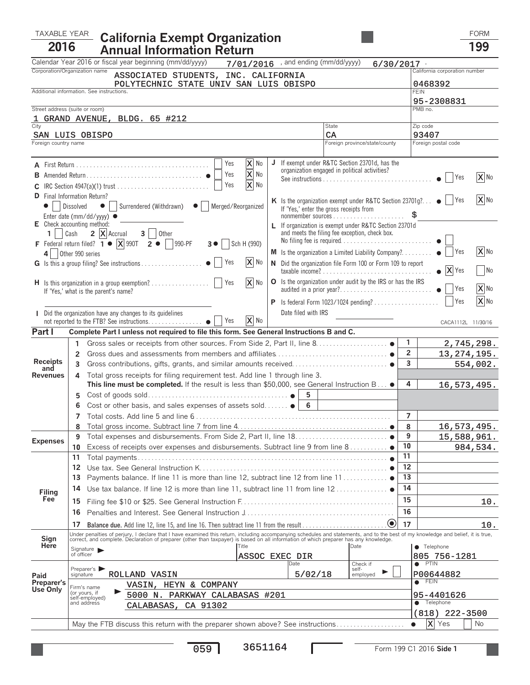## TAXABLE YEAR FORM **California Exempt Organization <sup>2016</sup> Annual Information Return <sup>199</sup>**

|                                                                                                                                                                                                                                                      |                                                                                                                                                                                                                                   | Calendar Year 2016 or fiscal year beginning (mm/dd/yyyy)                                                                                                                           |                          |  | $7/01/2016$ , and ending (mm/dd/yyyy) |                                                                                                         | 6/30/2017    |                                       |                    |          |  |
|------------------------------------------------------------------------------------------------------------------------------------------------------------------------------------------------------------------------------------------------------|-----------------------------------------------------------------------------------------------------------------------------------------------------------------------------------------------------------------------------------|------------------------------------------------------------------------------------------------------------------------------------------------------------------------------------|--------------------------|--|---------------------------------------|---------------------------------------------------------------------------------------------------------|--------------|---------------------------------------|--------------------|----------|--|
| Corporation/Organization name<br>ASSOCIATED STUDENTS, INC. CALIFORNIA                                                                                                                                                                                |                                                                                                                                                                                                                                   |                                                                                                                                                                                    |                          |  |                                       |                                                                                                         |              | California corporation number         |                    |          |  |
| POLYTECHNIC STATE UNIV SAN LUIS OBISPO                                                                                                                                                                                                               |                                                                                                                                                                                                                                   |                                                                                                                                                                                    |                          |  |                                       |                                                                                                         |              | 0468392                               |                    |          |  |
| Additional information. See instructions.                                                                                                                                                                                                            |                                                                                                                                                                                                                                   |                                                                                                                                                                                    |                          |  |                                       |                                                                                                         |              | <b>FEIN</b>                           |                    |          |  |
| Street address (suite or room)                                                                                                                                                                                                                       |                                                                                                                                                                                                                                   |                                                                                                                                                                                    |                          |  |                                       |                                                                                                         |              | 95-2308831<br>PMB no.                 |                    |          |  |
|                                                                                                                                                                                                                                                      |                                                                                                                                                                                                                                   | GRAND AVENUE, BLDG. 65 #212                                                                                                                                                        |                          |  |                                       |                                                                                                         |              |                                       |                    |          |  |
| City                                                                                                                                                                                                                                                 |                                                                                                                                                                                                                                   |                                                                                                                                                                                    |                          |  |                                       | State                                                                                                   |              | Zip code                              |                    |          |  |
| SAN LUIS OBISPO<br>Foreign country name                                                                                                                                                                                                              |                                                                                                                                                                                                                                   |                                                                                                                                                                                    |                          |  |                                       | CA<br>Foreign province/state/county                                                                     |              | 93407<br>Foreign postal code          |                    |          |  |
|                                                                                                                                                                                                                                                      |                                                                                                                                                                                                                                   |                                                                                                                                                                                    |                          |  |                                       |                                                                                                         |              |                                       |                    |          |  |
| X No<br>If exempt under R&TC Section 23701d, has the<br>J<br>Yes<br>organization engaged in political activities?<br>$\overline{\mathbf{X}}$ No<br>Yes                                                                                               |                                                                                                                                                                                                                                   |                                                                                                                                                                                    |                          |  |                                       |                                                                                                         |              |                                       | Yes                | X No     |  |
| $\overline{\mathbf{x}}$ No<br>Yes                                                                                                                                                                                                                    |                                                                                                                                                                                                                                   |                                                                                                                                                                                    |                          |  |                                       |                                                                                                         |              |                                       |                    |          |  |
| <b>D</b> Final Information Return?<br>K Is the organization exempt under R&TC Section 23701g? $\bullet$   Yes<br>● Surrendered (Withdrawn) ● Merged/Reorganized<br>Dissolved<br>If 'Yes,' enter the gross receipts from<br>Enter date (mm/dd/yyyy) ● |                                                                                                                                                                                                                                   |                                                                                                                                                                                    |                          |  |                                       |                                                                                                         |              |                                       |                    | X No     |  |
| E Check accounting method:<br>1 <sup>1</sup>                                                                                                                                                                                                         | Cash                                                                                                                                                                                                                              | $2  X $ Accrual $3  $ Other                                                                                                                                                        |                          |  |                                       | L If organization is exempt under R&TC Section 23701d<br>and meets the filing fee exception, check box. |              |                                       |                    |          |  |
|                                                                                                                                                                                                                                                      |                                                                                                                                                                                                                                   | F Federal return filed? $1 \bullet \boxed{X}$ 990T $2 \bullet \boxed{990\text{-}PF}$                                                                                               | $3 \bullet$ Sch H (990)  |  |                                       |                                                                                                         |              |                                       |                    |          |  |
|                                                                                                                                                                                                                                                      | 4 Other 990 series                                                                                                                                                                                                                |                                                                                                                                                                                    |                          |  |                                       | M Is the organization a Limited Liability Company? $\bullet$   Yes                                      |              |                                       |                    | X No     |  |
|                                                                                                                                                                                                                                                      |                                                                                                                                                                                                                                   |                                                                                                                                                                                    | X No                     |  |                                       | N Did the organization file Form 100 or Form 109 to report                                              |              | X Yes<br>No.                          |                    |          |  |
|                                                                                                                                                                                                                                                      | O Is the organization under audit by the IRS or has the IRS<br>X No<br>H Is this organization in a group exemption?     Yes<br>If 'Yes,' what is the parent's name?                                                               |                                                                                                                                                                                    |                          |  |                                       |                                                                                                         |              |                                       | <b>Yes</b>         | X No     |  |
|                                                                                                                                                                                                                                                      |                                                                                                                                                                                                                                   | P                                                                                                                                                                                  |                          |  |                                       |                                                                                                         |              |                                       | Yes                | X No     |  |
|                                                                                                                                                                                                                                                      |                                                                                                                                                                                                                                   | I Did the organization have any changes to its guidelines                                                                                                                          |                          |  | Date filed with IRS                   |                                                                                                         |              |                                       |                    |          |  |
|                                                                                                                                                                                                                                                      |                                                                                                                                                                                                                                   | not reported to the FTB? See instructions. ●   Yes                                                                                                                                 | X No                     |  |                                       |                                                                                                         |              |                                       | CACA1112L 11/30/16 |          |  |
| Part I                                                                                                                                                                                                                                               |                                                                                                                                                                                                                                   | Complete Part I unless not required to file this form. See General Instructions B and C.                                                                                           |                          |  |                                       |                                                                                                         |              |                                       |                    |          |  |
|                                                                                                                                                                                                                                                      | 1                                                                                                                                                                                                                                 |                                                                                                                                                                                    |                          |  |                                       |                                                                                                         |              | 1                                     | 2,745,298.         |          |  |
| <b>Receipts</b>                                                                                                                                                                                                                                      | 2                                                                                                                                                                                                                                 |                                                                                                                                                                                    |                          |  |                                       |                                                                                                         |              | $\overline{2}$<br>3                   | 13, 274, 195.      |          |  |
| and                                                                                                                                                                                                                                                  |                                                                                                                                                                                                                                   | 3                                                                                                                                                                                  |                          |  |                                       |                                                                                                         |              |                                       |                    | 554,002. |  |
| <b>Revenues</b>                                                                                                                                                                                                                                      |                                                                                                                                                                                                                                   | Total gross receipts for filing requirement test. Add line 1 through line 3.<br>4<br>This line must be completed. If the result is less than \$50,000, see General Instruction B . |                          |  |                                       |                                                                                                         |              |                                       | 16,573,495.        |          |  |
|                                                                                                                                                                                                                                                      | 5                                                                                                                                                                                                                                 |                                                                                                                                                                                    |                          |  |                                       |                                                                                                         |              | 4                                     |                    |          |  |
|                                                                                                                                                                                                                                                      |                                                                                                                                                                                                                                   | Cost or other basis, and sales expenses of assets sold $\bullet$   6                                                                                                               |                          |  |                                       |                                                                                                         |              |                                       |                    |          |  |
|                                                                                                                                                                                                                                                      |                                                                                                                                                                                                                                   |                                                                                                                                                                                    |                          |  |                                       |                                                                                                         |              | $\overline{7}$                        |                    |          |  |
|                                                                                                                                                                                                                                                      |                                                                                                                                                                                                                                   |                                                                                                                                                                                    |                          |  |                                       |                                                                                                         |              | 8                                     | 16,573,495.        |          |  |
|                                                                                                                                                                                                                                                      | 9                                                                                                                                                                                                                                 |                                                                                                                                                                                    |                          |  |                                       |                                                                                                         |              | 9                                     | 15,588,961.        |          |  |
| <b>Expenses</b>                                                                                                                                                                                                                                      | 10                                                                                                                                                                                                                                | Excess of receipts over expenses and disbursements. Subtract line 9 from line 8                                                                                                    |                          |  |                                       |                                                                                                         |              | $\overline{10}$                       |                    | 984,534. |  |
|                                                                                                                                                                                                                                                      | 11                                                                                                                                                                                                                                | Total payments                                                                                                                                                                     |                          |  |                                       |                                                                                                         |              | 11                                    |                    |          |  |
|                                                                                                                                                                                                                                                      | 12                                                                                                                                                                                                                                |                                                                                                                                                                                    |                          |  |                                       |                                                                                                         |              | 12                                    |                    |          |  |
|                                                                                                                                                                                                                                                      | 13                                                                                                                                                                                                                                | Payments balance. If line 11 is more than line 12, subtract line 12 from line 11 ●                                                                                                 |                          |  |                                       |                                                                                                         |              | 13                                    |                    |          |  |
| Filing                                                                                                                                                                                                                                               | 14                                                                                                                                                                                                                                | Use tax balance. If line 12 is more than line 11, subtract line 11 from line 12                                                                                                    |                          |  |                                       |                                                                                                         |              |                                       |                    |          |  |
| Fee                                                                                                                                                                                                                                                  | 15                                                                                                                                                                                                                                |                                                                                                                                                                                    |                          |  |                                       |                                                                                                         |              |                                       |                    | 10.      |  |
|                                                                                                                                                                                                                                                      | 16                                                                                                                                                                                                                                |                                                                                                                                                                                    |                          |  |                                       |                                                                                                         |              | 16                                    |                    |          |  |
|                                                                                                                                                                                                                                                      | $\bullet$<br>17                                                                                                                                                                                                                   |                                                                                                                                                                                    |                          |  |                                       |                                                                                                         |              | 17                                    |                    | 10.      |  |
| Sign                                                                                                                                                                                                                                                 | Under penalties of perjury, I declare that I have examined this return, including accompanying schedules and statements, and to the best of my knowledge and belief, it is true,<br>correct, and complete. Declaration of prepare |                                                                                                                                                                                    |                          |  |                                       |                                                                                                         |              |                                       |                    |          |  |
| Here                                                                                                                                                                                                                                                 | Date<br><b>ITitle</b><br>Signature                                                                                                                                                                                                |                                                                                                                                                                                    |                          |  |                                       |                                                                                                         |              |                                       | • Telephone        |          |  |
|                                                                                                                                                                                                                                                      | of officer<br>ASSOC EXEC DIR                                                                                                                                                                                                      |                                                                                                                                                                                    |                          |  |                                       |                                                                                                         | 805 756-1281 |                                       |                    |          |  |
|                                                                                                                                                                                                                                                      | Preparer's                                                                                                                                                                                                                        | Date                                                                                                                                                                               |                          |  | Check if<br>self-                     |                                                                                                         |              | PTIN<br>$\bullet$                     |                    |          |  |
| Paid<br>Preparer's                                                                                                                                                                                                                                   | signature                                                                                                                                                                                                                         | ROLLAND VASIN                                                                                                                                                                      | ▶<br>5/02/18<br>employed |  |                                       |                                                                                                         |              | P00644882<br><b>FEIN</b><br>$\bullet$ |                    |          |  |
| Use Only                                                                                                                                                                                                                                             | VASIN, HEYN & COMPANY<br>Firm's name<br>(or yours, if<br>5000 N. PARKWAY CALABASAS #201                                                                                                                                           |                                                                                                                                                                                    |                          |  |                                       |                                                                                                         |              |                                       |                    |          |  |
|                                                                                                                                                                                                                                                      | self-employed)<br>and address                                                                                                                                                                                                     | CALABASAS, CA 91302                                                                                                                                                                |                          |  |                                       |                                                                                                         |              | 95-4401626<br>Telephone<br>$\bullet$  |                    |          |  |
|                                                                                                                                                                                                                                                      |                                                                                                                                                                                                                                   |                                                                                                                                                                                    |                          |  |                                       | $222 - 3500$<br>(818)                                                                                   |              |                                       |                    |          |  |
|                                                                                                                                                                                                                                                      | May the FTB discuss this return with the preparer shown above? See instructions                                                                                                                                                   |                                                                                                                                                                                    |                          |  |                                       |                                                                                                         |              |                                       | ΙxΙ<br>Yes         | No       |  |
|                                                                                                                                                                                                                                                      |                                                                                                                                                                                                                                   |                                                                                                                                                                                    |                          |  |                                       |                                                                                                         |              |                                       |                    |          |  |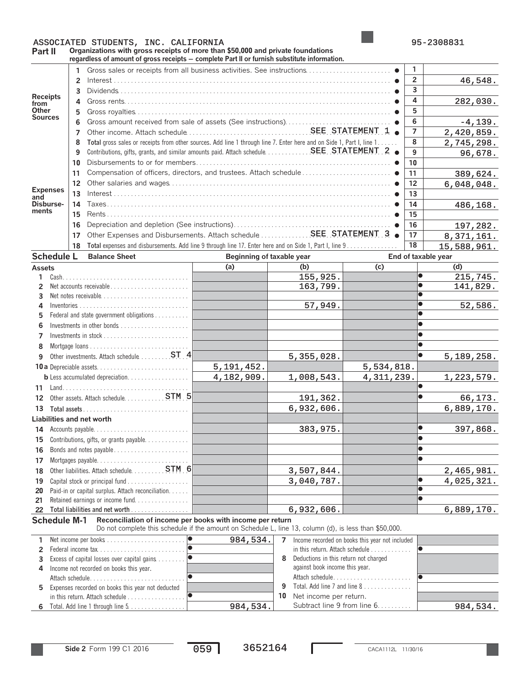## ASSOCIATED STUDENTS, INC. CALIFORNIA 195-2308831

**Part II Organizations with gross receipts of more than \$50,000 and private foundations regardless of amount of gross receipts** ' **complete Part II or furnish substitute information.**

|                                           |                                          |                                                   | regardiess of amount of gross receipts — complete Part if or furnism substitute information.                          |                |                                                             |                                            |                                            |                                                 |                |                        |                     |
|-------------------------------------------|------------------------------------------|---------------------------------------------------|-----------------------------------------------------------------------------------------------------------------------|----------------|-------------------------------------------------------------|--------------------------------------------|--------------------------------------------|-------------------------------------------------|----------------|------------------------|---------------------|
|                                           |                                          |                                                   |                                                                                                                       |                |                                                             |                                            |                                            |                                                 | 1              |                        |                     |
| <b>Receipts</b><br>from                   |                                          | $\overline{2}$                                    |                                                                                                                       |                |                                                             |                                            |                                            |                                                 | $\overline{2}$ |                        | 46,548.             |
|                                           |                                          | 3                                                 |                                                                                                                       |                |                                                             |                                            |                                            |                                                 |                |                        |                     |
|                                           |                                          | 4                                                 |                                                                                                                       |                |                                                             |                                            |                                            |                                                 |                |                        | 282,030.            |
| Other<br><b>Sources</b>                   |                                          | 5                                                 |                                                                                                                       |                |                                                             |                                            |                                            |                                                 |                |                        |                     |
|                                           |                                          | 6                                                 |                                                                                                                       |                |                                                             |                                            |                                            |                                                 | 6              |                        | $-4, 139.$          |
|                                           |                                          | 7                                                 |                                                                                                                       | $\overline{7}$ |                                                             | 2,420,859.                                 |                                            |                                                 |                |                        |                     |
|                                           |                                          | 8                                                 | Total gross sales or receipts from other sources. Add line 1 through line 7. Enter here and on Side 1, Part I, line 1 | 8              |                                                             | 2,745,298.                                 |                                            |                                                 |                |                        |                     |
|                                           |                                          | 9                                                 |                                                                                                                       | 9              |                                                             | 96,678.                                    |                                            |                                                 |                |                        |                     |
|                                           |                                          | 10                                                |                                                                                                                       | 10             |                                                             |                                            |                                            |                                                 |                |                        |                     |
|                                           |                                          | 11                                                |                                                                                                                       |                |                                                             |                                            |                                            |                                                 |                |                        | 389,624.            |
|                                           |                                          | 12                                                |                                                                                                                       |                |                                                             |                                            |                                            |                                                 |                |                        | 6,048,048.          |
| <b>Expenses</b><br>and                    |                                          | 13                                                |                                                                                                                       | 13             |                                                             |                                            |                                            |                                                 |                |                        |                     |
| Disburse-                                 |                                          | 14                                                |                                                                                                                       | 14             |                                                             | 486,168.                                   |                                            |                                                 |                |                        |                     |
| ments                                     |                                          | 15                                                |                                                                                                                       |                |                                                             |                                            |                                            |                                                 | 15             |                        |                     |
|                                           |                                          | 16                                                |                                                                                                                       |                |                                                             |                                            |                                            |                                                 | 16             |                        | 197,282.            |
|                                           |                                          | 17                                                | Other Expenses and Disbursements. Attach schedule  SEE STATEMENT 3 .                                                  |                |                                                             |                                            |                                            |                                                 | 17             |                        | 8,371,161.          |
|                                           |                                          | 18                                                | Total expenses and disbursements. Add line 9 through line 17. Enter here and on Side 1, Part I, line 9                |                |                                                             |                                            |                                            |                                                 | 18             |                        | 15,588,961.         |
| <b>Schedule L</b>                         |                                          |                                                   | <b>Balance Sheet</b>                                                                                                  |                | Beginning of taxable year                                   |                                            |                                            |                                                 |                |                        | End of taxable year |
| <b>Assets</b>                             |                                          |                                                   |                                                                                                                       |                | (a)                                                         |                                            | (b)                                        | $\overline{c}$                                  |                |                        | (d)                 |
| 1                                         |                                          |                                                   |                                                                                                                       |                |                                                             |                                            | 155,925.                                   |                                                 |                |                        | 215,745.            |
| 2                                         |                                          |                                                   | Net accounts receivable                                                                                               |                |                                                             |                                            | 163,799.                                   |                                                 |                | $\bullet$              | 141,829.            |
| 3                                         |                                          |                                                   | Net notes receivable                                                                                                  |                |                                                             |                                            |                                            |                                                 |                | $\bullet$              |                     |
| 4                                         |                                          |                                                   |                                                                                                                       |                |                                                             |                                            | 57,949.                                    |                                                 |                |                        | 52,586.             |
| 5                                         | Federal and state government obligations |                                                   |                                                                                                                       |                |                                                             |                                            |                                            |                                                 |                |                        |                     |
|                                           |                                          |                                                   |                                                                                                                       |                |                                                             |                                            |                                            |                                                 |                | $\bullet$              |                     |
| 7                                         |                                          |                                                   |                                                                                                                       |                |                                                             |                                            |                                            |                                                 |                | $\bullet$              |                     |
| 8                                         |                                          |                                                   |                                                                                                                       |                |                                                             |                                            |                                            |                                                 |                | $\bullet$              |                     |
| Other investments. Attach schedule 4<br>9 |                                          |                                                   |                                                                                                                       |                | 5,355,028.                                                  |                                            |                                            | $\bullet$                                       | 5, 189, 258.   |                        |                     |
|                                           |                                          |                                                   | 5, 191, 452.                                                                                                          |                |                                                             | 5,534,818.                                 |                                            |                                                 |                |                        |                     |
|                                           |                                          |                                                   | <b>b</b> Less accumulated depreciation.                                                                               |                | 4,182,909.                                                  |                                            | 1,008,543.                                 | 4, 311, 239.                                    |                |                        | 1,223,579.          |
| 11                                        |                                          |                                                   |                                                                                                                       |                |                                                             |                                            |                                            |                                                 |                | $\bullet$              |                     |
| 12                                        |                                          |                                                   |                                                                                                                       |                |                                                             |                                            | 191,362.                                   |                                                 |                | $\bullet$              | 66,173.             |
| 13                                        |                                          |                                                   |                                                                                                                       |                |                                                             | 6,932,606.                                 |                                            |                                                 |                | 6,889,170.             |                     |
| Liabilities and net worth                 |                                          |                                                   |                                                                                                                       |                |                                                             |                                            |                                            |                                                 |                |                        |                     |
| 14                                        |                                          |                                                   |                                                                                                                       |                |                                                             |                                            | 383,975.                                   |                                                 |                | $\bullet$              | 397,868.            |
|                                           |                                          |                                                   | 15 Contributions, gifts, or grants payable.                                                                           |                |                                                             |                                            |                                            |                                                 |                | $\bullet$              |                     |
| 16                                        |                                          |                                                   | Bonds and notes payable                                                                                               |                |                                                             |                                            |                                            |                                                 |                | $\bullet$              |                     |
| 17                                        |                                          |                                                   |                                                                                                                       |                |                                                             |                                            |                                            |                                                 |                |                        |                     |
| 18                                        |                                          |                                                   |                                                                                                                       |                |                                                             |                                            | 3,507,844.                                 |                                                 |                |                        | 2,465,981.          |
| 19                                        |                                          |                                                   |                                                                                                                       |                |                                                             |                                            | 3,040,787.                                 |                                                 |                | $\bullet$<br>$\bullet$ | 4,025,321.          |
| 20<br>21                                  |                                          |                                                   | Paid-in or capital surplus. Attach reconciliation.<br>Retained earnings or income fund                                |                |                                                             |                                            |                                            |                                                 |                | $\bullet$              |                     |
|                                           |                                          |                                                   |                                                                                                                       |                |                                                             |                                            | 6,932,606.                                 |                                                 |                |                        | 6,889,170.          |
| <b>Schedule M-1</b>                       |                                          |                                                   | Reconciliation of income per books with income per return                                                             |                |                                                             |                                            |                                            |                                                 |                |                        |                     |
|                                           |                                          |                                                   | Do not complete this schedule if the amount on Schedule L, line 13, column (d), is less than \$50,000.                |                |                                                             |                                            |                                            |                                                 |                |                        |                     |
| 1                                         |                                          |                                                   |                                                                                                                       | $\bullet$      | 984,534.                                                    | $\overline{7}$                             |                                            | Income recorded on books this year not included |                |                        |                     |
| $\mathbf{2}^{\prime}$                     |                                          |                                                   |                                                                                                                       | lo             |                                                             |                                            | in this return. Attach schedule $\ldots$ , |                                                 |                | $\bullet$              |                     |
| 3                                         |                                          |                                                   |                                                                                                                       |                |                                                             | Deductions in this return not charged<br>8 |                                            |                                                 |                |                        |                     |
| 4                                         | Income not recorded on books this year.  |                                                   |                                                                                                                       |                |                                                             | against book income this year.             |                                            |                                                 |                |                        |                     |
|                                           |                                          |                                                   | Attach schedule                                                                                                       |                |                                                             |                                            |                                            | Attach schedule                                 |                | $\bullet$              |                     |
|                                           |                                          | Expenses recorded on books this year not deducted |                                                                                                                       |                | Total. Add line 7 and line 8<br>9<br>Net income per return. |                                            |                                            |                                                 |                |                        |                     |
| 5                                         |                                          |                                                   |                                                                                                                       |                |                                                             | 10                                         |                                            |                                                 |                |                        |                     |

Total. Add line 1 through line 5 Subtract line 9 from line 6. . . . . . . . . . **6** . . . . . . . . . . . . . . . . . 984,534. 984,534.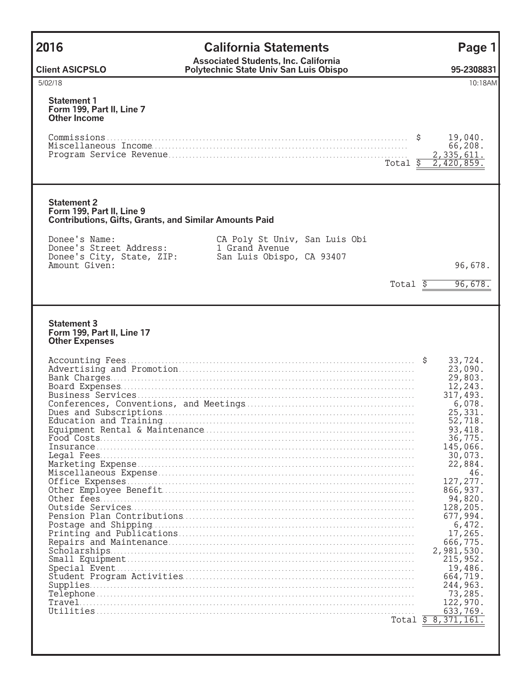| 2016                                                                                                             | <b>California Statements</b>                                                             | Page 1                                                                                                                                                                                                                                                                                                                                                                                     |
|------------------------------------------------------------------------------------------------------------------|------------------------------------------------------------------------------------------|--------------------------------------------------------------------------------------------------------------------------------------------------------------------------------------------------------------------------------------------------------------------------------------------------------------------------------------------------------------------------------------------|
| <b>Client ASICPSLO</b>                                                                                           | <b>Associated Students, Inc. California</b><br>Polytechnic State Univ San Luis Obispo    | 95-2308831                                                                                                                                                                                                                                                                                                                                                                                 |
| 5/02/18                                                                                                          |                                                                                          | 10:18AM                                                                                                                                                                                                                                                                                                                                                                                    |
| <b>Statement 1</b><br>Form 199, Part II, Line 7<br><b>Other Income</b>                                           | Total \$                                                                                 | 19,040.<br>66,208.<br>2,335,611.<br>2,420,859                                                                                                                                                                                                                                                                                                                                              |
| <b>Statement 2</b><br>Form 199, Part II, Line 9<br><b>Contributions, Gifts, Grants, and Similar Amounts Paid</b> |                                                                                          |                                                                                                                                                                                                                                                                                                                                                                                            |
| Donee's Name:<br>Donee's Street Address:<br>Donee's City, State, ZIP:<br>Amount Given:                           | CA Poly St Univ, San Luis Obi<br>1 Grand Avenue<br>San Luis Obispo, CA 93407<br>Total \$ | 96,678.<br>96,678.                                                                                                                                                                                                                                                                                                                                                                         |
|                                                                                                                  |                                                                                          |                                                                                                                                                                                                                                                                                                                                                                                            |
| <b>Statement 3</b><br>Form 199, Part II, Line 17<br><b>Other Expenses</b>                                        |                                                                                          | 33,724.<br>23,090.<br>29,803.<br>12,243.<br>317,493.<br>6,078.<br>25,331.<br>52,718<br>93, 418.<br>36,775.<br>145,066.<br>30,073.<br>22,884.<br>46.<br>127, 277.<br>866, 937.<br>94,820.<br>128,205.<br>677,994.<br>6,472.<br>17,265.<br>666,775.<br>2,981,530.<br>215, 952.<br>19,486.<br>664,719.<br>244,963.<br>73,285.<br>122,970.<br>633,769.<br>Total $\bar{\varsigma}$ 8, 371, 161. |